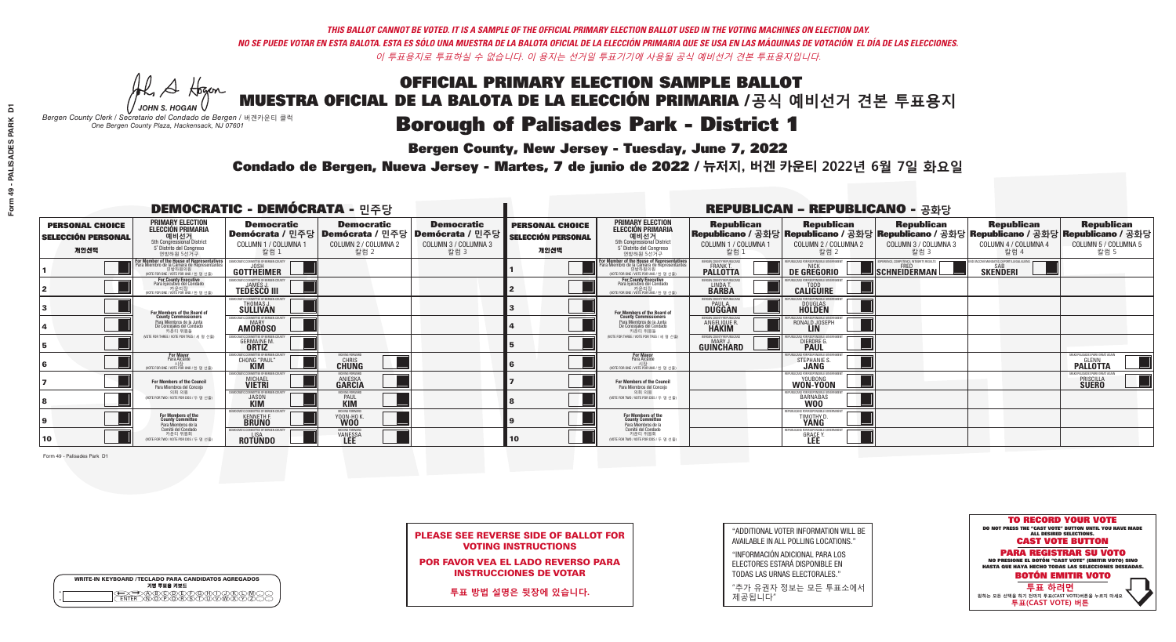**Bergen County, New Jersey - Tuesday, June 7, 2022** 

A Hogan *JOHN S. HOGAN*

| <b>WRITE-IN KEYBOARD /TECLADO PARA CANDIDATOS AGREGADOS</b><br>기명 투표용 키보드 |  |
|---------------------------------------------------------------------------|--|
|                                                                           |  |

*Bergen County Clerk / Secretario del Condado de Bergen /* 버겐카운티 클럭 *One Bergen County Plaza, Hackensack, NJ 07601*



PLEASE SEE REVERSE SIDE OF BALLOT FOR VOTING INSTRUCTIONS

POR FAVOR VEA EL LADO REVERSO PARA INSTRUCCIONES DE VOTAR

**투표 방법 설명은 뒷장에 있습니다.**

| "ADDITIONAL VOTER INFORMATION WILL BE |
|---------------------------------------|
| AVAILABLE IN ALL POLLING LOCATIONS."  |

"INFORMACIÓN ADICIONAL PARA LOS ELECTORES ESTARÁ DISPONIBLE EN TODAS LAS URNAS ELECTORALES."

"추가 유권자 정보는 모든 투표소에서 제공됩니다"

Condado de Bergen, Nueva Jersey - Martes, 7 de junio de 2022 / 뉴저지, 버겐 카운티 2022년 6월 7일 화요일 *One Bergen County Plaza, Hackensack, NJ 07601*

| <b>DEMOCRATIC - DEMÓCRATA - 민주당</b>                         |                                                                                                                                               |                                                                         |                                                   |                                                                                                        |                                                             |                                                                                                                                               |                                                                       | <b>REPUBLICAN - REPUBLICANO - 공화당</b>                                                                                                            |                                                   |                                                   |                                                                            |
|-------------------------------------------------------------|-----------------------------------------------------------------------------------------------------------------------------------------------|-------------------------------------------------------------------------|---------------------------------------------------|--------------------------------------------------------------------------------------------------------|-------------------------------------------------------------|-----------------------------------------------------------------------------------------------------------------------------------------------|-----------------------------------------------------------------------|--------------------------------------------------------------------------------------------------------------------------------------------------|---------------------------------------------------|---------------------------------------------------|----------------------------------------------------------------------------|
| <b>PERSONAL CHOICE</b><br><b>SELECCIÓN PERSONAL</b><br>개인선택 | <b>PRIMARY ELECTION</b><br><b>ELECCIÓN PRIMARIA</b><br>5th Congressional District<br>5 <sup>°</sup> Distrito del Congreso<br>연방하원 5선거구        | <b>Democratic</b><br>COLUMN 1 / COLUMNA 1<br>칼럼 1                       | <b>Democratic</b><br>COLUMN 2 / COLUMNA 2<br>칼럼 2 | <b>Democratic</b><br>│Demócrata / 민주당│Demócrata / 민주당│Demócrata / 민주당┃<br>COLUMN 3 / COLUMNA 3<br>칼럼 3 | <b>PERSONAL CHOICE</b><br><b>SELECCIÓN PERSONAL</b><br>개인선택 | <b>PRIMARY ELECTION</b><br>ELECCIÓN PRIMARIA<br>예비선거<br><sub>5th Congressional District</sub><br>5° Distrito del Congreso<br>연방하원 5선거구        | <b>Republican</b><br>COLUMN 1 / COLUMNA 1<br>칼럼 :                     | <b>Republican</b><br>│Republicano / 공화당│Republicano / 공화당│Republicano / 공화당│Republicano / 공화당│Republicano / 공화당│<br>COLUMN 2 / COLUMNA 2<br>칼럼 2 | <b>Republican</b><br>COLUMN 3 / COLUMNA 3<br>칼럼 3 | <b>Republican</b><br>COLUMN 4 / COLUMNA 4<br>칼럼 4 | <b>Republican</b><br>COLUMN 5 / COLUMNA 5<br>칼럼 5                          |
|                                                             | For Member of the House of Representatives<br>Para Miembro de la Cámara de Representantes<br>연방하원의원<br>(VOTE FOR ONE / VOTE POR UNO / 한 명 선출) | <b>GOTTHEIMER</b>                                                       |                                                   |                                                                                                        |                                                             | For Member of the House of Representatives<br>Para Miembro de la Cámara de Representantes<br>연방하원의원<br>(VOTE FOR ONE / VOTE POR UNO / 한 명 선출) | <b>PALLOTTA</b>                                                       | DE GREGORIO                                                                                                                                      | SCHNEIDERMAN                                      | <b>SKENDERI</b>                                   |                                                                            |
|                                                             | For County Executive<br>Para Ejecutivo del Condado<br>. 카운티장<br>(VOTE FOR ONE / VOTE POR UNO / 한 명 선출)                                        | DEMOCRATIC COMMITTEE OF BERGEN COUNTY<br><b>TEDESCO III</b>             |                                                   |                                                                                                        |                                                             | For County Executive<br>Para Ejecutivo del Condado<br>7 카운티장<br>(VOTE FOR ONE / VOTE POR UNO / 한 명 선출)                                        | BERGEN COUNTY REPUBLICAN:<br>LINDA T.                                 | <b>CALIGUIRE</b>                                                                                                                                 |                                                   |                                                   |                                                                            |
|                                                             | For Members of the Board of<br>County Commissioners                                                                                           | EMOCRATIC COMMITTEE OF BERGEN COUNTY<br><b>SULLIVAN</b>                 |                                                   |                                                                                                        |                                                             | For Members of the Board of<br>County Commissioners                                                                                           | BERGEN COUNTY REPUBLICAN:<br><b>DUGGAN</b>                            | DOUGLAS<br>HOLDEN                                                                                                                                |                                                   |                                                   |                                                                            |
|                                                             | Para Miembros de la Junta<br>De Concejales del Condado<br>카우티 위원들                                                                             | <b>AMOROSO</b>                                                          |                                                   |                                                                                                        |                                                             | Para Miembros de la Junta<br>De Concejales del Condado<br>카운티 위원들                                                                             | <b>FRGEN COUNTY REPUBLICAL</b><br><b>ANGELIQUE R.</b><br><b>HAKIM</b> | RONALD JOSEPH                                                                                                                                    |                                                   |                                                   |                                                                            |
|                                                             | (VOTE FOR THREE / VOTE POR TRES / 세 명 선출)                                                                                                     | <b>CRATIC COMMITTEE OF BERGEN COUNT</b><br><b>GERMAINE M.</b>           |                                                   |                                                                                                        |                                                             | NOTE FOR THREE / VOTE POR TRES / 세 명 선출                                                                                                       | BERGEN COUNTY REPUBLICANS<br><b>GUINCHARD</b>                         | <b>FOR RESPONSIBLE G</b><br><b>DIERDRE</b>                                                                                                       |                                                   |                                                   |                                                                            |
|                                                             | <b>For Mayor</b><br>Para Alcalde<br>NOTE FOR ONE / VOTE POR UNO / 하 명 선례                                                                      | <b>CHONG "PAUL"</b>                                                     | MOVING FORWARD<br><b>CHRIS</b>                    |                                                                                                        |                                                             | <b>For Mayor</b><br>Para Alcalde<br>NOTE FOR ONE / VOTE POR UNO / 한 명 선출                                                                      |                                                                       | STEPHANIE                                                                                                                                        |                                                   |                                                   | MAKE PALISADES PARK GREAT AGAI<br><b>PALLOTTA</b>                          |
|                                                             | For Members of the Council<br>Para Miembros del Conceio                                                                                       | MOCRATIC COMMITTEE OF BERGEN COUNT<br><b>MICHAEL</b>                    | <b>ANIESKA</b><br>GARCIA                          |                                                                                                        |                                                             | <b>For Members of the Council</b><br>Para Miembros del Conceio                                                                                |                                                                       | FPUBLICANS FOR RESPONSIBLE GO!<br>WON-YOON                                                                                                       |                                                   |                                                   | <b>MAKE PALISADES PARK GREAT AGAIN</b><br><b>PRISCILLA</b><br><b>SUERO</b> |
|                                                             | 의회 의원<br>VOTE FOR TWO / VOTE POR DOS / 두 명 선출)                                                                                                | MOCRATIC COMMITTEE OF BERGEN COUNTY<br><b>JASON</b>                     | <b>PAUL</b>                                       |                                                                                                        |                                                             | 의회 의워<br>NOTE FOR TWO / VOTE POR DOS / 두 명 선출)                                                                                                |                                                                       | 'URI ICANS FOR RESPONSIBI E GOVERNMEN<br>BARNABAS                                                                                                |                                                   |                                                   |                                                                            |
|                                                             | For Members of the<br>County Committee<br>Para Miembros de la                                                                                 | 10CRATIC COMMITTEE OF BERGEN COUNT<br><b>KENNETH F.</b><br><b>BRUNO</b> | <b>YOON-HO K</b>                                  |                                                                                                        |                                                             | For Members of the<br>County Committee<br>Para Miembros de la<br>Comité del Condado                                                           |                                                                       | UBI ICANS FOR RESPONSIBI E GI<br>TIMOTHY D.                                                                                                      |                                                   |                                                   |                                                                            |
| 10                                                          | Comité del Condado<br>카운티 위원회<br>VOTE FOR TWO / VOTE POR DOS / 두 명 선출)                                                                        | EMOCRATIC COMMITTEE OF RERGEN CO<br><b>ROTUNDO</b>                      | MOVING FORWAI<br><b>VANESSA</b>                   |                                                                                                        | 10                                                          | 카운티 위원회<br>NOTE FOR TWO / VOTE POR DOS / 두 명 선출)                                                                                              |                                                                       | REPUBLICANS FOR RESPONSIBLE GOV<br><b>GRACE Y</b>                                                                                                |                                                   |                                                   |                                                                            |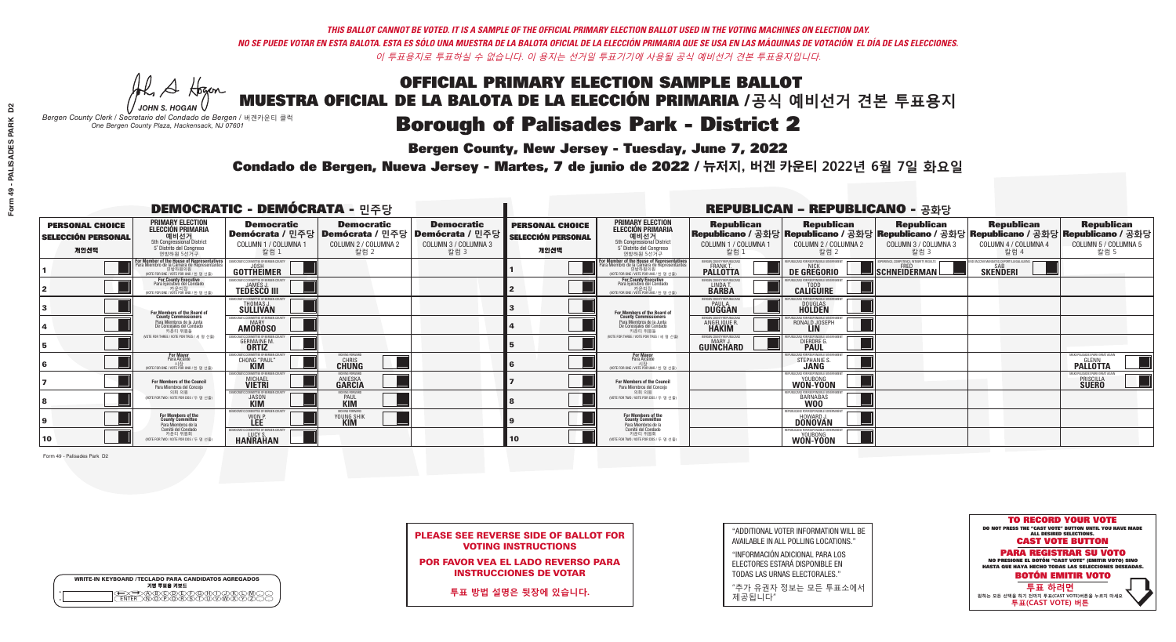**Bergen County, New Jersey - Tuesday, June 7, 2022** 

A Hogan *JOHN S. HOGAN*

| <b>WRITE-IN KEYBOARD /TECLADO PARA CANDIDATOS AGREGADOS</b><br>기명 투표용 키보드 |  |
|---------------------------------------------------------------------------|--|
| >@®©®®®®®®©®®<br>`™®®®®®®©™™®®<br><b>FNTFR</b>                            |  |

*Bergen County Clerk / Secretario del Condado de Bergen /* 버겐카운티 클럭 *One Bergen County Plaza, Hackensack, NJ 07601*

Condado de Bergen, Nueva Jersey - Martes, 7 de junio de 2022 / 뉴저지, 버겐 카운티 2022년 6월 7일 화요일 *One Bergen County Plaza, Hackensack, NJ 07601*



PLEASE SEE REVERSE SIDE OF BALLOT FOR VOTING INSTRUCTIONS

POR FAVOR VEA EL LADO REVERSO PARA INSTRUCCIONES DE VOTAR

**투표 방법 설명은 뒷장에 있습니다.**

| "ADDITIONAL VOTER INFORMATION WILL BE |
|---------------------------------------|
| AVAILABLE IN ALL POLLING LOCATIONS."  |

"INFORMACIÓN ADICIONAL PARA LOS ELECTORES ESTARÁ DISPONIBLE EN TODAS LAS URNAS ELECTORALES."

"추가 유권자 정보는 모든 투표소에서 제공됩니다"

| <b>DEMOCRATIC - DEMÓCRATA - 민주당</b>                         |                                                                                                                                              |                                                                       |                                                   |                                                                                                        |                                                             |                                                                                                                                                        |                                                               | <b>REPUBLICAN - REPUBLICANO - 공화당</b>                                                                                                          |                                                   |                                                   |                                                              |
|-------------------------------------------------------------|----------------------------------------------------------------------------------------------------------------------------------------------|-----------------------------------------------------------------------|---------------------------------------------------|--------------------------------------------------------------------------------------------------------|-------------------------------------------------------------|--------------------------------------------------------------------------------------------------------------------------------------------------------|---------------------------------------------------------------|------------------------------------------------------------------------------------------------------------------------------------------------|---------------------------------------------------|---------------------------------------------------|--------------------------------------------------------------|
| <b>PERSONAL CHOICE</b><br><b>SELECCIÓN PERSONAL</b><br>개인선택 | <b>PRIMARY ELECTION</b><br><b>ELECCIÓN PRIMARIA</b><br>5th Congressional District<br>5 <sup>o</sup> Distrito del Congreso<br>연방하원 5선거구       | <b>Democratic</b><br>COLUMN 1 / COLUMNA 1<br>칼럼 1                     | <b>Democratic</b><br>COLUMN 2 / COLUMNA 2<br>칼럼 2 | <b>Democratic</b><br>│Demócrata / 민주당│Demócrata / 민주당│Demócrata / 민주당┃<br>COLUMN 3 / COLUMNA 3<br>칼럼 3 | <b>PERSONAL CHOICE</b><br><b>SELECCIÓN PERSONAL</b><br>개인선택 | <b>PRIMARY ELECTION</b><br><b>ELECCIÓN PRIMARIA</b><br><b>에비선거</b><br>5th Congressional District<br>5 <sup>th</sup> Distrite del Congreso<br>연방하원 5선거구 | <b>Republican</b><br>COLUMN 1 / COLUMNA 1<br>칼럼 :             | <b>Republican</b><br>Republicano / 공화당 Republicano / 공화당 Republicano / 공화당 Republicano / 공화당 Republicano / 공화당<br>COLUMN 2 / COLUMNA 2<br>칼럼 2 | <b>Republican</b><br>COLUMN 3 / COLUMNA 3<br>칼럼 3 | <b>Republican</b><br>COLUMN 4 / COLUMNA 4<br>칼럼 4 | <b>Republican</b><br>COLUMN 5 / COLUMNA 5<br>칼럼 5            |
|                                                             | For Member of the House of Representative<br>Para Miembro de la Cámara de Representantes<br>연방하원의원<br>(VOTE FOR ONE / VOTE POR UNO / 한 명 선출) | GOTTHEIMER                                                            |                                                   |                                                                                                        |                                                             | For Member of the House of Representatives<br>Para Miembro de la Cámara de Representantes<br>연방하원의원<br>(VOTE FOR ONE / VOTE POR UNO / 한 명 선출)          | <b>FRGEN COUNTY REPUBLICAL</b><br><b>PALLOTTA</b>             | DE GREGORIO                                                                                                                                    | SCHNEIDERMAN                                      | <b>SKENDERI</b>                                   |                                                              |
|                                                             | For County Executive<br>Para Ejecutivo del Condado<br>가운티장<br>(VOTE FOR ONE / VOTE POR UNO / 한 명 선출)                                         | JEMOCRATIC COMMITTEE OF BERGEN COUNTY<br><b>TEDESCO III</b>           |                                                   |                                                                                                        |                                                             | <b>For County Executive</b><br>Para Ejecutivo del Condado<br>7) 카운티장<br>(VOTE FOR ONE / VOTE POR UNO / 한 명 선출)                                         | BERGEN COUNTY REPUBLICAN<br>LINDA T.                          | <b>CALIGUIRE</b>                                                                                                                               |                                                   |                                                   |                                                              |
|                                                             | <b>For Members of the Board of<br/>County Commissioners</b>                                                                                  | EMOCRATIC COMMITTEE OF BERGEN COUNT<br>THOMAS J.                      |                                                   |                                                                                                        |                                                             | For Members of the Board of<br>County Commissioners                                                                                                    | BERGEN COUNTY REPUBLICAN:<br><b>PAUL A.</b><br><b>DUGGAN</b>  | <b>DOUGLAS</b>                                                                                                                                 |                                                   |                                                   |                                                              |
|                                                             | Para Miembros de la Junta<br>De Concejales del Condado<br>카우티 위원들                                                                            | <b>EMOCRATIC COMMITTEE OF BERGEN COUNTY</b><br>MARY<br><b>AMOROSO</b> |                                                   |                                                                                                        |                                                             | Para Miembros de la Junta<br>De Concejales del Condado<br>카우티 위원들                                                                                      | ERGEN COUNTY REPUBLICAN<br><b>ANGELIQUE R</b><br><b>HAKIM</b> | RONALD JOSEPH                                                                                                                                  |                                                   |                                                   |                                                              |
|                                                             | (VOTE FOR THREE / VOTE POR TRES / 세 명 선출)                                                                                                    | ATIC COMMITTEE OF BEBGEN COUN<br><b>GERMAINE M.</b>                   |                                                   |                                                                                                        |                                                             | NOTE FOR THREE / VOTE POR TRES / 세 명 선출!                                                                                                               | ERGEN COUNTY REPUBLICAN:<br><b>GUINCHARD</b>                  | DIERDRE G                                                                                                                                      |                                                   |                                                   |                                                              |
|                                                             | <b>For Mayor</b><br>Para Alcalde<br>(VOTE FOR ONE / VOTE POR UNO / 한 명 선출                                                                    | CHONG "PAUL"                                                          | MOVING FORWARD<br>CHRIS<br>CHUNG                  |                                                                                                        |                                                             | <b>For Mayor</b><br>Para Alcalde<br>시장<br>(VOTE FOR ONE / VOTE POR UNO / 한 명 선출)                                                                       |                                                               | STEPHANIE S                                                                                                                                    |                                                   |                                                   | MAKE PALISADES PARK GREAT AO<br><b>PALLOTTA</b>              |
|                                                             | <b>For Members of the Council</b><br>Para Miembros del Conceio                                                                               | MOCRATIC COMMITTEE OF BERGEN COUNT<br><b>MICHAEL</b><br><b>VIETRI</b> | INVING FNRWAR<br><b>ANIESKA</b><br><b>GARCIA</b>  |                                                                                                        |                                                             | For Members of the Council<br>Para Miembros del Conceio                                                                                                |                                                               | REPLIRI ICANS ENR RESPONSIRI E GO'<br>WON-YOON                                                                                                 |                                                   |                                                   | MAKE PALISADES PARK GREAT AGAIN<br>PRISCILLA<br><b>SUERO</b> |
|                                                             | 의회 의원<br>(VOTE FOR TWO / VOTE POR DOS / 두 명 선출)                                                                                              | EMOCRATIC COMMITTEE OF BERGEN COUNTY<br><b>JASON</b>                  | <b>PAUL</b>                                       |                                                                                                        |                                                             | 의회 의원<br>VOTE FOR TWO / VOTE POR DOS / 두 명 선출)                                                                                                         |                                                               | BARNABAS                                                                                                                                       |                                                   |                                                   |                                                              |
|                                                             | For Members of the<br>County Committee<br>Para Miembros de la                                                                                | IOCRATIC COMMITTEE OF BE<br>WON P.                                    | MOVING FORWARD<br>YOUNG SHIK                      |                                                                                                        |                                                             | For Members of the<br>County Committee<br>Para Miembros de la<br>Comité del Condado                                                                    |                                                               | <b>HOWARD J.</b><br><b>DONOVAN</b>                                                                                                             |                                                   |                                                   |                                                              |
| 10                                                          | Comité del Condado<br>카운티 위원회<br>(VOTE FOR TWO / VOTE POR DOS / 두 명 선출)                                                                      | EMOCRATIC COMMITTEE OF BERGEN COUNT<br><b>HANRAHAN</b>                |                                                   |                                                                                                        | 10                                                          | 카운티 위원회<br>(VOTE FOR TWO / VOTE POR DOS / 두 명 선출)                                                                                                      |                                                               | REPUBLICANS FOR RESPONSIBLE GOVERNMENT<br>WON-YOON                                                                                             |                                                   |                                                   |                                                              |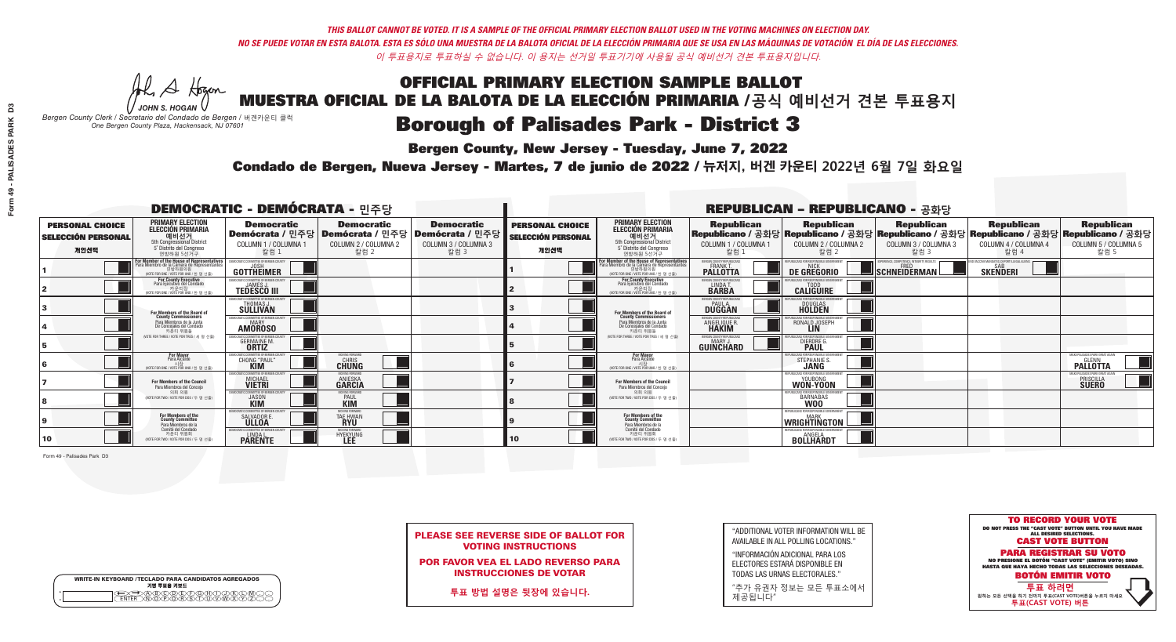**Bergen County, New Jersey - Tuesday, June 7, 2022** 

A Hogan *JOHN S. HOGAN*

| <b>WRITE-IN KEYBOARD /TECLADO PARA CANDIDATOS AGREGADOS</b><br>기명 투표용 키보드 |  |
|---------------------------------------------------------------------------|--|
| >@®©®®®®®®©®®<br>`™®®®®®®©™™®®<br><b>FNTFR</b>                            |  |

*Bergen County Clerk / Secretario del Condado de Bergen /* 버겐카운티 클럭 *One Bergen County Plaza, Hackensack, NJ 07601*



PLEASE SEE REVERSE SIDE OF BALLOT FOR VOTING INSTRUCTIONS

POR FAVOR VEA EL LADO REVERSO PARA INSTRUCCIONES DE VOTAR

**투표 방법 설명은 뒷장에 있습니다.**

| "ADDITIONAL VOTER INFORMATION WILL BE |
|---------------------------------------|
| AVAILABLE IN ALL POLLING LOCATIONS."  |

"INFORMACIÓN ADICIONAL PARA LOS ELECTORES ESTARÁ DISPONIBLE EN TODAS LAS URNAS ELECTORALES."

"추가 유권자 정보는 모든 투표소에서 제공됩니다"

Condado de Bergen, Nueva Jersey - Martes, 7 de junio de 2022 / 뉴저지, 버겐 카운티 2022년 6월 7일 화요일 *One Bergen County Plaza, Hackensack, NJ 07601*

| <b>DEMOCRATIC - DEMÓCRATA - 민주당</b>                         |                                                                                                                                               |                                                                             |                                                   |                                                                                                        |                                                             |                                                                                                                                               |                                                   | <b>REPUBLICAN - REPUBLICANO - 공화당</b>                                                                                                            |                                            |                                                   |                                                                            |
|-------------------------------------------------------------|-----------------------------------------------------------------------------------------------------------------------------------------------|-----------------------------------------------------------------------------|---------------------------------------------------|--------------------------------------------------------------------------------------------------------|-------------------------------------------------------------|-----------------------------------------------------------------------------------------------------------------------------------------------|---------------------------------------------------|--------------------------------------------------------------------------------------------------------------------------------------------------|--------------------------------------------|---------------------------------------------------|----------------------------------------------------------------------------|
| <b>PERSONAL CHOICE</b><br><b>SELECCIÓN PERSONAL</b><br>개인선택 | <b>PRIMARY ELECTION</b><br><b>ELECCIÓN PRIMARIA</b><br>5th Congressional District<br>5 <sup>°</sup> Distrito del Congreso<br>연방하원 5선거구        | <b>Democratic</b><br>COLUMN 1 / COLUMNA 1<br>칼럼 1                           | <b>Democratic</b><br>COLUMN 2 / COLUMNA 2<br>칼럼 2 | <b>Democratic</b><br>│Demócrata / 민주당│Demócrata / 민주당│Demócrata / 민주당┃<br>COLUMN 3 / COLUMNA 3<br>칼럼 3 | <b>PERSONAL CHOICE</b><br><b>SELECCIÓN PERSONAL</b><br>개인선택 | <b>PRIMARY ELECTION</b><br>ELECCIÓN PRIMARIA<br>예비선거<br>5th Congressional District<br>5° Distrito del Congreso<br>연방하원 5선거구                   | <b>Republican</b><br>COLUMN 1 / COLUMNA 1<br>칼럼 1 | <b>Republican</b><br>│Republicano / 공화당│Republicano / 공화당│Republicano / 공화당│Republicano / 공화당│Republicano / 공화당│<br>COLUMN 2 / COLUMNA 2<br>칼럼 2 | Republican<br>COLUMN 3 / COLUMNA 3<br>칼럼 3 | <b>Republican</b><br>COLUMN 4 / COLUMNA 4<br>칼럼 4 | <b>Republican</b><br>COLUMN 5 / COLUMNA 5<br>칼럼 5                          |
|                                                             | For Member of the House of Representatives<br>Para Miembro de la Cámara de Representantes<br>연방하원의원<br>(VOTE FOR ONE / VOTE POR UNO / 한 명 선출) | <b>GOTTHEIMER</b>                                                           |                                                   |                                                                                                        |                                                             | For Member of the House of Representatives<br>Para Miembro de la Cámara de Representantes<br>연방하원의원<br>(VOTE FOR ONE / VOTE POR UNO / 한 명 선출) | <b>PALLOTTA</b>                                   | DE GREGORIO                                                                                                                                      | SCHNEIDERMAN                               | <b>SKENDERI</b>                                   |                                                                            |
|                                                             | For County Executive<br>Para Ejecutivo del Condado<br>. 카운티장<br>(VOTE FOR ONE / VOTE POR UNO / 한 명 선출)                                        | DEMOCRATIC COMMITTEE OF BERGEN COUNTY<br><b>TEDESCO III</b>                 |                                                   |                                                                                                        |                                                             | For County Executive<br>Para Ejecutivo del Condado<br>7 카운티장<br>(VOTE FOR ONE / VOTE POR UNO / 한 명 선출)                                        | BERGEN COUNTY REPUBLICAN:<br>LINDA T.             | <b>CALIGUIRE</b>                                                                                                                                 |                                            |                                                   |                                                                            |
|                                                             | For Members of the Board of<br>County Commissioners                                                                                           | EMOCRATIC COMMITTEE OF BERGEN COUNTY<br><b>THOMAS J.</b><br><b>SULLIVAN</b> |                                                   |                                                                                                        |                                                             | For Members of the Board of<br>County Commissioners                                                                                           | BERGEN COUNTY REPUBLICANS<br>PAUL A.<br>DUGGAN    | DOUGLAS<br>HOLDEN                                                                                                                                |                                            |                                                   |                                                                            |
|                                                             | Para Miembros de la Junta<br>De Concejales del Condado<br>카우티 위원들                                                                             | <b>AMOROSO</b>                                                              |                                                   |                                                                                                        |                                                             | Para Miembros de la Junta<br>De Concejales del Condado<br>카운티 위원들                                                                             | <b>FRGEN COUNTY REPUBLICAL</b><br>ANGELIQUE R.    | RONALD JOSEPH                                                                                                                                    |                                            |                                                   |                                                                            |
|                                                             | (VOTE FOR THREE / VOTE POR TRES / 세 명 선출)                                                                                                     | <b>CRATIC COMMITTEE OF BERGEN COUNT</b><br><b>GERMAINE M.</b>               |                                                   |                                                                                                        |                                                             | NOTE FOR THREE / VOTE POR TRES / 세 명 선출                                                                                                       | BERGEN COUNTY REPUBLICANS<br><b>GUINCHARD</b>     | <b>FOR RESPONSIBLE G</b><br><b>DIERDRE</b>                                                                                                       |                                            |                                                   |                                                                            |
|                                                             | <b>For Mayor</b><br>Para Alcalde<br>NOTE FOR ONE / VOTE POR UNO / 하 명 선례                                                                      | <b>CHONG "PAUL"</b>                                                         | MOVING FORWARD<br><b>CHRIS</b>                    |                                                                                                        |                                                             | <b>For Mayor</b><br>Para Alcalde<br>NOTE FOR ONE / VOTE POR UNO / 한 명 선출                                                                      |                                                   | STEPHANIE                                                                                                                                        |                                            |                                                   | MAKE PALISADES PARK GREAT AGAI<br><b>PALLOTTA</b>                          |
|                                                             | For Members of the Council<br>Para Miembros del Conceio                                                                                       | MOCRATIC COMMITTEE OF BERGEN COUNT<br><b>MICHAEL</b>                        | <b>ANIESKA</b><br>GARCIA                          |                                                                                                        |                                                             | <b>For Members of the Council</b><br>Para Miembros del Conceio                                                                                |                                                   | PUBLICANS FOR RESPONSIBLE GO!<br>WON-YOON                                                                                                        |                                            |                                                   | <b>MAKE PALISADES PARK GREAT AGAIN</b><br><b>PRISCILLA</b><br><b>SUERO</b> |
|                                                             | 의회 의원<br>VOTE FOR TWO / VOTE POR DOS / 두 명 선출)                                                                                                | MOCRATIC COMMITTEE OF BERGEN COUNTY<br><b>JASON</b>                         | <b>PAUL</b>                                       |                                                                                                        |                                                             | 의회 의워<br>NOTE FOR TWO / VOTE POR DOS / 두 명 선출)                                                                                                |                                                   | 'URI ICANS FOR RESPONSIBI E GOVERNMEN<br>BARNABAS                                                                                                |                                            |                                                   |                                                                            |
|                                                             | For Members of the<br>County Committee<br>Para Miembros de la                                                                                 | OCRATIC COMMITTEE OF BERGEN COUN<br>SALVADOR I                              | MOVING FORWARD<br>TAE HWAN                        |                                                                                                        |                                                             | For Members of the<br>County Committee<br>Para Miembros de la<br>Comité del Condado                                                           |                                                   | REPUBLICANS FOR RESPONSIBLE GOVERNMEN<br>WRIGHTINGTON                                                                                            |                                            |                                                   |                                                                            |
| 10                                                          | Comité del Condado<br>카운티 위원회<br>(VOTE FOR TWO / VOTE POR DOS / 두 명 선출)                                                                       | EMOCRATIC COMMITTEE OF BERGEN COUNT<br><b>PARENTE</b>                       | MOVING FORWAR<br><b>HYEKYUNG</b>                  |                                                                                                        | 10                                                          | 카운티 위원회<br>NOTE FOR TWO / VOTE POR DOS / 두 명 선출)                                                                                              |                                                   | REPUBLICANS FOR RESPONSIBLE GOVERNMEN<br><b>BOLLHARDT</b>                                                                                        |                                            |                                                   |                                                                            |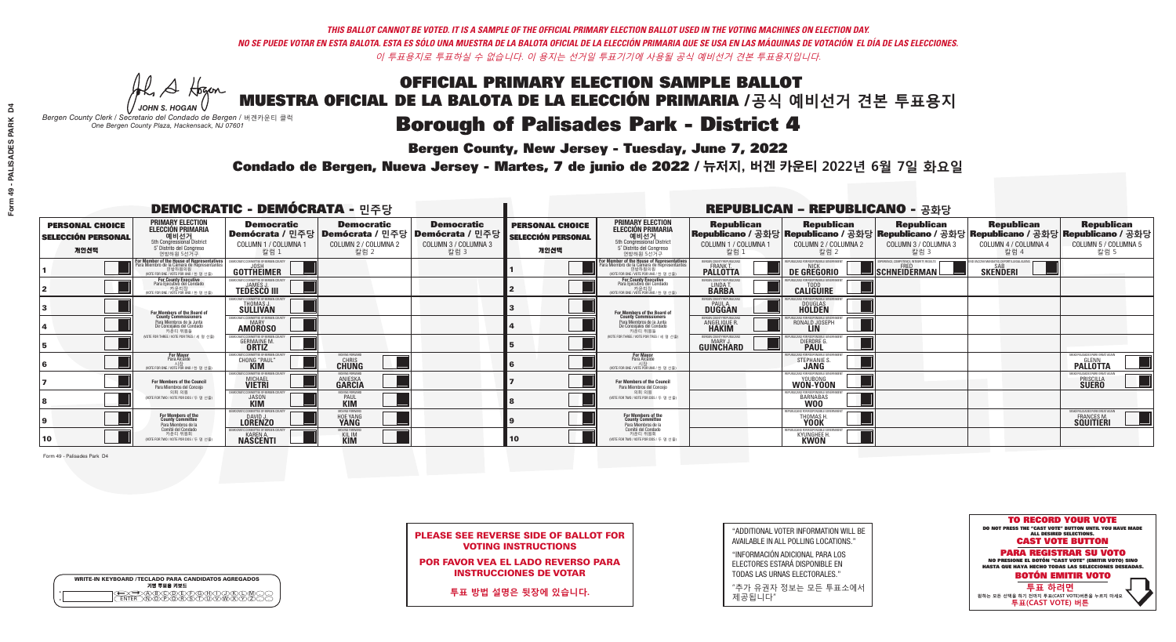**Bergen County, New Jersey - Tuesday, June 7, 2022** 

A Hogan *JOHN S. HOGAN*

| <b>WRITE-IN KEYBOARD /TECLADO PARA CANDIDATOS AGREGADOS</b><br>기명 투표용 키보드 |  |
|---------------------------------------------------------------------------|--|
| DA BOORDDOADDIND<br>DIN OPORSIDUUWXY<br><b>ENTER</b>                      |  |

*Bergen County Clerk / Secretario del Condado de Bergen /* 버겐카운티 클럭 *One Bergen County Plaza, Hackensack, NJ 07601*

Condado de Bergen, Nueva Jersey - Martes, 7 de junio de 2022 / 뉴저지, 버겐 카운티 2022년 6월 7일 화요일 *One Bergen County Plaza, Hackensack, NJ 07601*



PLEASE SEE REVERSE SIDE OF BALLOT FOR VOTING INSTRUCTIONS

POR FAVOR VEA EL LADO REVERSO PARA INSTRUCCIONES DE VOTAR

**투표 방법 설명은 뒷장에 있습니다.**

"ADDITIONAL VOTER INFORMATION WILL BE AVAILABLE IN ALL POLLING LOCATIONS."

"INFORMACIÓN ADICIONAL PARA LOS ELECTORES ESTARÁ DISPONIBLE EN TODAS LAS URNAS ELECTORALES."

"추가 유권자 정보는 모든 투표소에서 제공됩니다"

| <b>DEMOCRATIC - DEMÓCRATA - 민주당</b>                         |                                                                                                                                             |                                                                            |                                                   |                                                                                                        |                                                             |                                                                                                                                               |                                                   | <b>REPUBLICAN - REPUBLICANO - 공화당</b>                                                                                                            |                                                   |                                                   |                                                          |
|-------------------------------------------------------------|---------------------------------------------------------------------------------------------------------------------------------------------|----------------------------------------------------------------------------|---------------------------------------------------|--------------------------------------------------------------------------------------------------------|-------------------------------------------------------------|-----------------------------------------------------------------------------------------------------------------------------------------------|---------------------------------------------------|--------------------------------------------------------------------------------------------------------------------------------------------------|---------------------------------------------------|---------------------------------------------------|----------------------------------------------------------|
| <b>PERSONAL CHOICE</b><br><b>SELECCIÓN PERSONAL</b><br>개인선택 | <b>PRIMARY ELECTION</b><br><b>ELECCIÓN PRIMARIA</b><br>5th Congressional District<br>5 <sup>o</sup> Distrito del Congreso<br>연방하원 5선거구      | <b>Democratic</b><br>COLUMN 1 / COLUMNA 1<br>칼럼 1                          | <b>Democratic</b><br>COLUMN 2 / COLUMNA 2<br>칼럼 2 | <b>Democratic</b><br>│Demócrata / 민주당│Demócrata / 민주당│Demócrata / 민주당┃<br>COLUMN 3 / COLUMNA 3<br>칼럼 3 | <b>PERSONAL CHOICE</b><br><b>SELECCIÓN PERSONAL</b><br>개인선택 | <b>PRIMARY ELECTION</b><br>ELECCIÓN PRIMARIA<br>예비선거<br>5th Congressional District<br>5° Distrito del Congreso<br>연방하원 5선거구                   | <b>Republican</b><br>COLUMN 1 / COLUMNA 1<br>칼럼 : | <b>Republican</b><br>│Republicano / 공화당│Republicano / 공화당│Republicano / 공화당│Republicano / 공화당│Republicano / 공화당│<br>COLUMN 2 / COLUMNA 2<br>칼럼 2 | <b>Republican</b><br>COLUMN 3 / COLUMNA 3<br>칼럼 3 | <b>Republican</b><br>COLUMN 4 / COLUMNA 4<br>칼럼 4 | <b>Republican</b><br>COLUMN 5 / COLUMNA 5<br>칼럼 5        |
|                                                             | For Member of the House of Representatives<br>Para Miembro de la Cámara de Representantes<br>연방하원의원<br>(VOTE FOR ONE / VOTE POR UNO / 한명선출) | <b>GOTTHEIMER</b>                                                          |                                                   |                                                                                                        |                                                             | For Member of the House of Representatives<br>Para Miembro de la Cámara de Representantes<br>연방하원의원<br>(VOTE FOR ONE / VOTE POR UNO / 한 명 선출) | <b>PALLOTTA</b>                                   | DE GREGORIO                                                                                                                                      | SCHNEIDERMAN                                      | <b>SKENDERI</b>                                   |                                                          |
|                                                             | <b>For County Executive</b><br>Para Ejecutivo del Condado<br>. 카운티장<br>(VOTE FOR ONE / VOTE POR UNO / 한 명 선출)                               | EMOCRATIC COMMITTEE OF BERGEN COUNTY<br><b>TEDESCO III</b>                 |                                                   |                                                                                                        |                                                             | <b>For County Executive</b><br>Para Ejecutivo del Condado<br>7 카운티장<br>(VOTE FOR ONE / VOTE POR UNO / 한 명 선출)                                 | BERGEN COUNTY REPUBLICAN:<br>LINDA T.             | <b>CALIGUIRE</b>                                                                                                                                 |                                                   |                                                   |                                                          |
|                                                             | For Members of the Board of<br>County Commissioners                                                                                         | MOCRATIC COMMITTEE OF BERGEN COUNTY<br><b>THOMAS J.</b><br><b>SULLIVAN</b> |                                                   |                                                                                                        |                                                             | For Members of the Board of<br>County Commissioners                                                                                           | ERGEN COUNTY REPUBLICAL<br><b>DUGGAN</b>          | <b>DOUGLAS</b><br><b>HOLDEN</b>                                                                                                                  |                                                   |                                                   |                                                          |
|                                                             | Para Miembros de la Junta<br>De Concejales del Condado<br>카우티 위원들                                                                           | EMOCRATIC COMMITTEE OF BERGEN COUNT<br><b>AMOROSO</b>                      |                                                   |                                                                                                        |                                                             | Para Miembros de la Junta<br>De Conceiales del Condado<br>카우티 위원들                                                                             | ERGEN COUNTY REPUBLICAL<br><b>ANGELIQUE R</b>     | RONALD JOSEPH                                                                                                                                    |                                                   |                                                   |                                                          |
|                                                             | NOTE FOR THREE / VOTE POR TRES / 세 명 선출)                                                                                                    | CRATIC COMMITTEE OF BEBGEN COU<br><b>GERMAINE M.</b><br><b>ORTIZ</b>       |                                                   |                                                                                                        |                                                             | NOTE FOR THREE / VOTE POR TRES / 세 명 선출!                                                                                                      | BERGEN COUNTY REPUBLICANS<br><b>GUINCHARD</b>     | CANS FOR RESPONSIBLE GO<br>DIERDRE C                                                                                                             |                                                   |                                                   |                                                          |
|                                                             | <b>For Mayor</b><br>Para Alcalde<br>NOTE FOR ONE / VOTE POR UNO / 하 명 서축                                                                    | MOCRATIC COMMITTEE OF BERGEN COUNT<br>CHONG "PAUL"                         | MOVING FORWARD<br><b>CHRIS</b>                    |                                                                                                        |                                                             | For Mayor<br>Para Alcalde<br>NOTE FOR ONE / VOTE POR UNO / 하 명 서축                                                                             |                                                   | HIRI ICANS ENR RESPONSIRI E<br>STEPHANIE S.                                                                                                      |                                                   |                                                   | MAKE PALISADES PARK GREAT AGAIN<br><b>PALLOTTA</b>       |
|                                                             | <b>For Members of the Council</b><br>Para Miembros del Conceio                                                                              | MOCRATIC COMMITTEE OF BERGEN<br><b>MICHAEL</b>                             | <b>ANIESKA</b><br>GARCIA                          |                                                                                                        |                                                             | <b>For Members of the Council</b><br>Para Miembros del Conceio                                                                                |                                                   | WON-YOON                                                                                                                                         |                                                   |                                                   | <b>MAKE PALISADES PARK GREAT AGA</b><br><b>PRISCILLA</b> |
|                                                             | 의회 의원<br>(VOTE FOR TWO / VOTE POR DOS / 두 명 선출)                                                                                             | MOCRATIC COMMITTEE OF BERGEN COUNT<br><b>JASON</b>                         | 10VING FORWAR<br><b>PAUL</b>                      |                                                                                                        |                                                             | 의회 의원<br>(VOTE FOR TWO / VOTE POR DOS / 두 명 선출)                                                                                               |                                                   | 'URI ICANS FOR RESPONSIBI E GOVERNMEN<br>BARNABAS                                                                                                |                                                   |                                                   |                                                          |
|                                                             | For Members of the<br>County Committee<br>Para Miembros de la<br>Comité del Condado                                                         | 10CRATIC COMMITTEE OF BERGEN COUNTY<br><b>LORENZO</b>                      | <b>HOE YANG</b>                                   |                                                                                                        |                                                             | For Members of the<br>County Committee<br>Para Miembros de la<br>Comité del Condado                                                           |                                                   | PUBLICANS FOR RESPONSIBLE GO<br><b>THOMAS H</b><br><b>YOOK</b>                                                                                   |                                                   |                                                   | MAKE PALISADES PARK GREAT AGAIN<br>FRANCES M.            |
| 10                                                          | 카운티 위원회<br>(VOTE FOR TWO / VOTE POR DOS / 두 명 선출)                                                                                           | <b>NASCENTI</b>                                                            | KIL IM<br>KIM                                     |                                                                                                        | 10                                                          | 카운티 위원회<br>WOTE FOR TWO / VOTE POR DOS / 두 명 선출)                                                                                              |                                                   | PLIRI ICANS FOR RESPONSIRI E G<br><b>KYUNGHEE H</b><br><b>KWON</b>                                                                               |                                                   |                                                   |                                                          |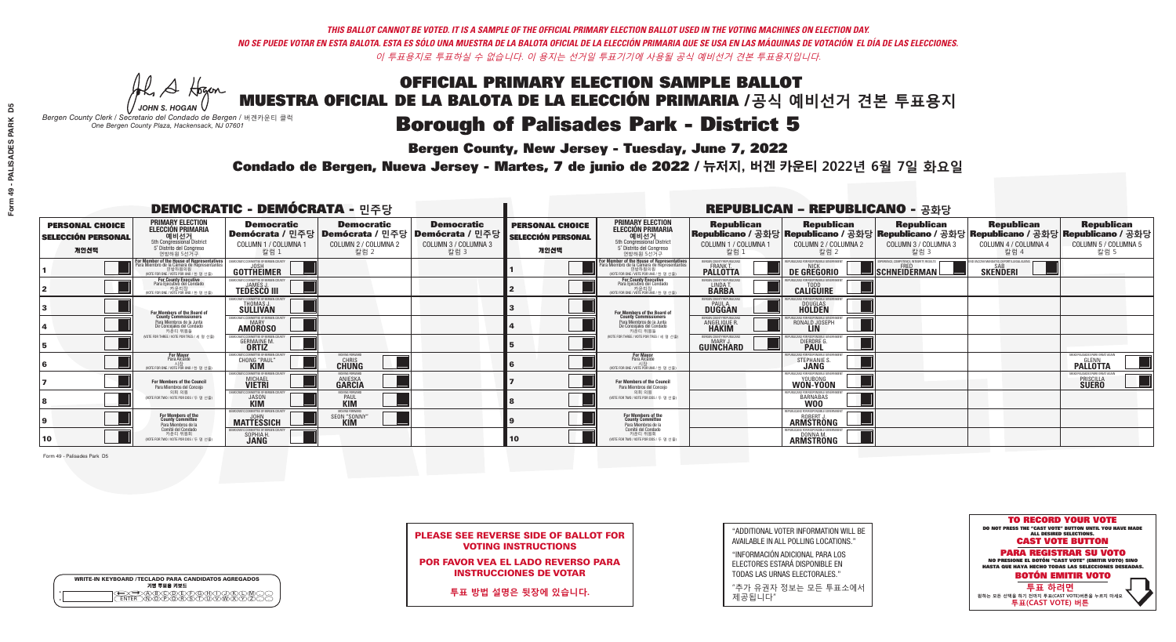**Bergen County, New Jersey - Tuesday, June 7, 2022** 

A Hogan *JOHN S. HOGAN*

| <b>WRITE-IN KEYBOARD /TECLADO PARA CANDIDATOS AGREGADOS</b><br>기명 투표용 키보드 |  |
|---------------------------------------------------------------------------|--|
|                                                                           |  |

*Bergen County Clerk / Secretario del Condado de Bergen /* 버겐카운티 클럭 *One Bergen County Plaza, Hackensack, NJ 07601*

Condado de Bergen, Nueva Jersey - Martes, 7 de junio de 2022 / 뉴저지, 버겐 카운티 2022년 6월 7일 화요일 *One Bergen County Plaza, Hackensack, NJ 07601*



PLEASE SEE REVERSE SIDE OF BALLOT FOR VOTING INSTRUCTIONS

POR FAVOR VEA EL LADO REVERSO PARA INSTRUCCIONES DE VOTAR

**투표 방법 설명은 뒷장에 있습니다.**

| "ADDITIONAL VOTER INFORMATION WILL BE |
|---------------------------------------|
| AVAILABLE IN ALL POLLING LOCATIONS."  |

"INFORMACIÓN ADICIONAL PARA LOS ELECTORES ESTARÁ DISPONIBLE EN TODAS LAS URNAS ELECTORALES."

"추가 유권자 정보는 모든 투표소에서 제공됩니다"

| <b>DEMOCRATIC - DEMÓCRATA - 민주당</b>                         |                                                                                                                                               |                                                                        |                                                   |                                                                                                        |                                                      |                                                                                                                                                     |                                                                     | <b>REPUBLICAN - REPUBLICANO - 공화당</b>                                                                                                           |                                                   |                                                   |                                                              |
|-------------------------------------------------------------|-----------------------------------------------------------------------------------------------------------------------------------------------|------------------------------------------------------------------------|---------------------------------------------------|--------------------------------------------------------------------------------------------------------|------------------------------------------------------|-----------------------------------------------------------------------------------------------------------------------------------------------------|---------------------------------------------------------------------|-------------------------------------------------------------------------------------------------------------------------------------------------|---------------------------------------------------|---------------------------------------------------|--------------------------------------------------------------|
| <b>PERSONAL CHOICE</b><br><b>SELECCIÓN PERSONAL</b><br>개인선택 | <b>PRIMARY ELECTION</b><br>ELECCIÓN PRIMARIA<br>에비선거<br>5th Congressional District<br>5 <sup>'</sup> Distrito del Congreso<br>연방하원 5선거구       | <b>Democratic</b><br>COLUMN 1 / COLUMNA 1<br>칼럼 1                      | <b>Democratic</b><br>COLUMN 2 / COLUMNA 2<br>칼럼 2 | <b>Democratic</b><br>│Demócrata / 민주당│Demócrata / 민주당│Demócrata / 민주당┃<br>COLUMN 3 / COLUMNA 3<br>칼럼 3 | <b>PERSONAL CHOICE</b><br>SELECCIÓN PERSONAL<br>개인선택 | <b>PRIMARY ELECTION</b><br>ELECCIÓN PRIMARIA<br>예비선거<br><sub>5th Congressional District</sub><br>5° Distrito del Congreso<br>연방하원 5선거구              | <b>Republican</b><br>COLUMN 1 / COLUMNA 1<br>칼럼 :                   | <b>Republican</b><br>│Republicano / 공화당│Republicano / 공화당│Republicano / 공화당│Republicano / 공화당│Republicano / 공화당<br>COLUMN 2 / COLUMNA 2<br>칼럼 2 | <b>Republican</b><br>COLUMN 3 / COLUMNA 3<br>칼럼 3 | <b>Republican</b><br>COLUMN 4 / COLUMNA 4<br>칼럼 4 | <b>Republican</b><br>COLUMN 5 / COLUMNA 5<br>칼럼 5            |
|                                                             | For Member of the House of Representatives<br>Para Miembro de la Cámara de Representantes<br>연방하원의원<br>(VOTE FOR ONE / VOTE POR UNO / 한 명 선출) | <b>GOTTHEIMER</b>                                                      |                                                   |                                                                                                        |                                                      | <b>For Member of the House of Representatives<br/>Para Miembro de la Cámara de Representantes</b><br>연방하원의원<br>(VOTE FOR ONE / VOTE POR UNO / 한명선출) | FRGEN COUNTY REPUBLICAN<br><b>PALLOTTA</b>                          | DE GREGORIO                                                                                                                                     | SCHNEIDERMAN                                      | <b>SKENDERI</b>                                   |                                                              |
|                                                             | For County Executive<br>Para Ejecutivo del Condado<br>가운티장<br>(VOTE FOR ONE / VOTE POR UNO / 한 명 선출)                                          | EMOCRATIC COMMITTEE OF BERGEN COUNTY<br><b>TEDESCO III</b>             |                                                   |                                                                                                        |                                                      | For County Executive<br>Para Ejecutivo del Condado<br>, 기운티장<br>(VOTE FOR ONE / VOTE POR UNO / 한 명 선출)                                              | BERGEN COUNTY REPUBLICAN:<br>LINDA T.                               | <b>CALIGUIRE</b>                                                                                                                                |                                                   |                                                   |                                                              |
|                                                             | For Members of the Board of<br>County Commissioners                                                                                           | EMOCRATIC COMMITTEE OF BERGEN COUNTY<br>THOMAS J.                      |                                                   |                                                                                                        |                                                      | For Members of the Board of<br>County Commissioners                                                                                                 | BERGEN COUNTY REPUBLICAN:<br><b>PAUL A</b><br><b>DUGGAN</b>         | <b>DOUGLAS</b>                                                                                                                                  |                                                   |                                                   |                                                              |
|                                                             | Para Miembros de la Junta<br>De Concejales del Condado<br>카우티 위원들                                                                             | MOCRATIC COMMITTEE OF BERGEN COUNT<br><b>MARY</b><br><b>AMOROSO</b>    |                                                   |                                                                                                        |                                                      | Para Miembros de la Junta<br>De Concejales del Condado<br>카운티 위원들                                                                                   | <b>RGEN COUNTY REPUBLICAL</b><br><b>ANGELIQUE R</b><br><b>HAKIM</b> | RONALD JOSEPH                                                                                                                                   |                                                   |                                                   |                                                              |
|                                                             | (VOTE FOR THREE / VOTE POR TRES / 세 명 선출)                                                                                                     | RATIC COMMITTEE OF BERGEN COUN<br><b>GERMAINE M.</b>                   |                                                   |                                                                                                        |                                                      | (VOTE FOR THREE / VOTE POR TRES / 세 명 선출)                                                                                                           | ERGEN COUNTY REPUBLICAN!<br><b>GUINCHARD</b>                        | DIERDRE <sup>C</sup>                                                                                                                            |                                                   |                                                   |                                                              |
|                                                             | <b>For Mayor</b><br>Para Alcalde                                                                                                              | CHONG "PAUL"                                                           | <b>CHUNG</b>                                      |                                                                                                        |                                                      | <b>For Mayor</b><br>Para Alcalde                                                                                                                    |                                                                     | STEPHANIE S                                                                                                                                     |                                                   |                                                   | MAKE PALISADES PARK GREAT AO<br><b>PALLOTTA</b>              |
|                                                             | For Members of the Council<br>Para Miembros del Conceio                                                                                       | EMOCRATIC COMMITTEE OF BERGEN COUNT<br><b>MICHAEL</b><br><b>VIETRI</b> | MOVING FORWAR<br><b>ANIESKA</b><br>GARCIA         |                                                                                                        |                                                      | For Members of the Council<br>Para Miembros del Conceio                                                                                             |                                                                     | REPUBLICANS FOR RESPONSIBLE GO'<br>WON-YOON                                                                                                     |                                                   |                                                   | MAKE PALISADES PARK GREAT AGAIN<br>PRISCILLA<br><b>SUERO</b> |
|                                                             | 의회 의원<br>(VOTE FOR TWO / VOTE POR DOS / 두 명 선출)                                                                                               | <b>EMOCRATIC COMMITTEE OF BERGEN COUNTY</b><br><b>JASON</b>            | <b>MOVING FORWAR</b><br><b>PAUL</b><br>KIM        |                                                                                                        |                                                      | 의회 의원<br>VOTE FOR TWO / VOTE POR DOS / 두 명 선출)                                                                                                      |                                                                     | BARNABAS                                                                                                                                        |                                                   |                                                   |                                                              |
|                                                             | <b>For Members of the<br/>County Committee</b><br>Para Miembros de la                                                                         | MOCRATIC COMMITTEE OF BERGEN CO<br><b>MATTESSICH</b>                   | MOVING FORWARD<br>seon "sonny<br><b>KIM</b>       |                                                                                                        |                                                      | For Members of the<br>County Committee<br>Para Miembros de la<br>Comité del Condado                                                                 |                                                                     | <b>ARMSTRONG</b>                                                                                                                                |                                                   |                                                   |                                                              |
| 10                                                          | Comité del Condado<br>카운티 위원회<br>(VOTE FOR TWO / VOTE POR DOS / 두 명 선출)                                                                       | MOCRATIC COMMITTEE OF BERGEN COUN<br>SOPHIA H.                         |                                                   |                                                                                                        | 10                                                   | 카운티 위원회<br>(VOTE FOR TWO / VOTE POR DOS / 두 명 선출)                                                                                                   |                                                                     | REPUBLICANS FOR RESPONSIBLE GOVERNMENT<br><b>ARMSTRÖNG</b>                                                                                      |                                                   |                                                   |                                                              |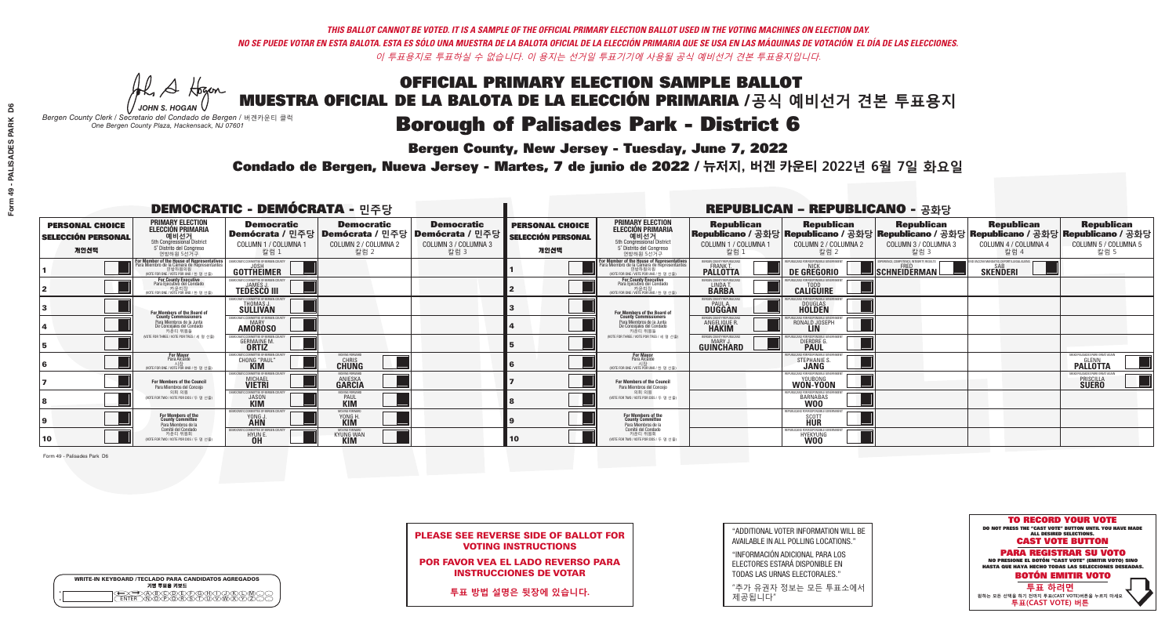**Bergen County, New Jersey - Tuesday, June 7, 2022** 

A Hogan *JOHN S. HOGAN*

| <b>WRITE-IN KEYBOARD /TECLADO PARA CANDIDATOS AGREGADOS</b><br>기명 투표용 키보드 |  |
|---------------------------------------------------------------------------|--|
| DA BOORDDOADDIND<br>DIN OPORSIDUUWXY<br><b>ENTER</b>                      |  |

*Bergen County Clerk / Secretario del Condado de Bergen /* 버겐카운티 클럭 *One Bergen County Plaza, Hackensack, NJ 07601*



PLEASE SEE REVERSE SIDE OF BALLOT FOR VOTING INSTRUCTIONS

POR FAVOR VEA EL LADO REVERSO PARA INSTRUCCIONES DE VOTAR

**투표 방법 설명은 뒷장에 있습니다.**

| "ADDITIONAL VOTER INFORMATION WILL BE |
|---------------------------------------|
| AVAILABLE IN ALL POLLING LOCATIONS."  |

"INFORMACIÓN ADICIONAL PARA LOS ELECTORES ESTARÁ DISPONIBLE EN TODAS LAS URNAS ELECTORALES."

"추가 유권자 정보는 모든 투표소에서 제공됩니다"

Condado de Bergen, Nueva Jersey - Martes, 7 de junio de 2022 / 뉴저지, 버겐 카운티 2022년 6월 7일 화요일 *One Bergen County Plaza, Hackensack, NJ 07601*

| <b>DEMOCRATIC - DEMÓCRATA - 민주당</b>                         |                                                                                                                                              |                                                                             |                                                   |                                                                                                              |                                                             |                                                                                                                                               |                                                   | <b>REPUBLICAN - REPUBLICANO - 공화당</b>                                                                                                          |                                                   |                                                   |                                                                            |
|-------------------------------------------------------------|----------------------------------------------------------------------------------------------------------------------------------------------|-----------------------------------------------------------------------------|---------------------------------------------------|--------------------------------------------------------------------------------------------------------------|-------------------------------------------------------------|-----------------------------------------------------------------------------------------------------------------------------------------------|---------------------------------------------------|------------------------------------------------------------------------------------------------------------------------------------------------|---------------------------------------------------|---------------------------------------------------|----------------------------------------------------------------------------|
| <b>PERSONAL CHOICE</b><br><b>SELECCIÓN PERSONAL</b><br>개인선택 | <b>PRIMARY ELECTION</b><br><b>ELECCIÓN PRIMARIA</b><br>5th Congressional District<br>5 <sup>o</sup> Distrito del Congreso<br>연방하원 5선거구       | <b>Democratic</b><br>COLUMN 1 / COLUMNA 1<br>칼럼 1                           | <b>Democratic</b><br>COLUMN 2 / COLUMNA 2<br>칼럼 2 | <b>Democratic</b><br>│ Demócrata / 민주당 │ Demócrata / 민주당 │ Demócrata / 민주당 ┃<br>COLUMN 3 / COLUMNA 3<br>칼럼 3 | <b>PERSONAL CHOICE</b><br><b>SELECCIÓN PERSONAL</b><br>개인선택 | <b>PRIMARY ELECTION</b><br>ELECCIÓN PRIMARIA<br>예비선거<br><sub>5th Congressional District</sub><br>5° Distrito del Congreso<br>연방하원 5선거구        | <b>Republican</b><br>COLUMN 1 / COLUMNA 1<br>칼럼 : | <b>Republican</b><br>Republicano / 공화당 Republicano / 공화당 Republicano / 공화당 Republicano / 공화당 Republicano / 공화당<br>COLUMN 2 / COLUMNA 2<br>칼럼 2 | <b>Republican</b><br>COLUMN 3 / COLUMNA 3<br>칼럼 3 | <b>Republican</b><br>COLUMN 4 / COLUMNA 4<br>칼럼 4 | <b>Republican</b><br>COLUMN 5 / COLUMNA 5<br>칼럼 5                          |
|                                                             | For Member of the House of Representative<br>Para Miembro de la Cámara de Representante:<br>연방하원의원<br>(VOTE FOR ONE / VOTE POR UNO / 한 명 선출) | GOTTHEIMER                                                                  |                                                   |                                                                                                              |                                                             | For Member of the House of Representatives<br>Para Miembro de la Cámara de Representantes<br>연방하원의원<br>(VOTE FOR ONE / VOTE POR UNO / 한 명 선출) | <b>PALLOTTA</b>                                   | DE GREGORIO                                                                                                                                    | SCHNEIDERMAN                                      | <b>SKENDERI</b>                                   |                                                                            |
|                                                             | For County Executive<br>Para Ejecutivo del Condado<br>び 카운티장<br>(VOTE FOR ONE / VOTE POR UNO / 한 명 선출)                                       | JEMOCRATIC COMMITTEE OF BERGEN COUNTY<br><b>TEDESCO III</b>                 |                                                   |                                                                                                              |                                                             | For County Executive<br>Para Ejecutivo del Condado<br>7 카운티장<br>(VOTE FOR ONE / VOTE POR UNO / 한 명 선출)                                        | BERGEN COUNTY REPUBLICAN:<br>LINDA T.             | <b>CALIGUIRE</b>                                                                                                                               |                                                   |                                                   |                                                                            |
|                                                             | For Members of the Board of<br>County Commissioners                                                                                          | EMOCRATIC COMMITTEE OF BERGEN COUNTY<br><b>THOMAS J.</b><br><b>SULLIVAN</b> |                                                   |                                                                                                              |                                                             | For Members of the Board of<br>County Commissioners                                                                                           | BERGEN COUNTY REPUBLICANS<br>PAUL A.<br>DUGGAN    | <b>DOUGLAS</b><br><b>HOLDEN</b>                                                                                                                |                                                   |                                                   |                                                                            |
|                                                             | Para Miembros de la Junta<br>De Concejales del Condado<br>카우티 위원들                                                                            | MOCRATIC COMMITTEE OF BEBGEN COUNT<br>MARY<br><b>AMOROSO</b>                |                                                   |                                                                                                              |                                                             | Para Miembros de la Junta<br>De Concejales del Condado<br>카우티 위원들                                                                             | <b>FRGEN COUNTY REPUBLICAL</b><br>ANGELIQUE R     | RONALD JOSEPH                                                                                                                                  |                                                   |                                                   |                                                                            |
|                                                             | NOTE FOR THREE / VOTE POR TRES / 세 명 선출)                                                                                                     | OCRATIC COMMITTEE OF BERGEN COUN<br><b>GERMAINE M.</b>                      |                                                   |                                                                                                              |                                                             | NOTE FOR THREE / VOTE POR TRES / 세 명 선출                                                                                                       | BERGEN COUNTY REPUBLICANS<br><b>GUINCHARD</b>     | S FOR RESPONSIBLE G<br><b>DIERDRE</b>                                                                                                          |                                                   |                                                   |                                                                            |
|                                                             | For Mayor<br>Para Alcalde<br>(VOTE FOR ONE / VOTE POR UNO / 한 명 선렬                                                                           | <b>CHONG "PAUL"</b>                                                         | MOVING FORWARD<br><b>CHUNG</b>                    |                                                                                                              |                                                             | <b>For Mayor</b><br>Para Alcalde<br>시장<br>(VOTE FOR ONE / VOTE POR UNO / 한 명 선출)                                                              |                                                   | STEPHANIE                                                                                                                                      |                                                   |                                                   | MAKE PALISADES PARK GREAT AGAI<br><b>PALLOTTA</b>                          |
|                                                             | For Members of the Council<br>Para Miembros del Conceio                                                                                      | MOCRATIC COMMITTEE OF BERGEN COUNT<br><b>MICHAEL</b>                        | <b>ANIESKA</b><br>GARCIA                          |                                                                                                              |                                                             | <b>For Members of the Council</b><br>Para Miembros del Conceio                                                                                |                                                   | FPUBLICANS FOR RESPONSIBLE GO<br>WON-YOON                                                                                                      |                                                   |                                                   | <b>MAKE PALISADES PARK GREAT AGAIN</b><br><b>PRISCILLA</b><br><b>SUERO</b> |
|                                                             | 의회 의원<br>(VOTE FOR TWO / VOTE POR DOS / 두 명 선출)                                                                                              | MOCRATIC COMMITTEE OF BERGEN COUNTY<br><b>JASON</b>                         | <b>PAUL</b>                                       |                                                                                                              |                                                             | 의회 의원<br>VOTE FOR TWO / VOTE POR DOS / 두 명 선출)                                                                                                |                                                   | JBI ICANS FOR RESPONSIBI E GOVE<br>BARNABAS                                                                                                    |                                                   |                                                   |                                                                            |
|                                                             | For Members of the<br>County Committee<br>Para Miembros de la<br>Comité del Condado                                                          | MOCRATIC COMMITTEE OF BERGEN COUNT<br>YONG J                                | AOVING FORWAF<br>YONG H                           |                                                                                                              |                                                             | For Members of the<br>County Committee<br>Para Miembros de la<br>Comité del Condado                                                           |                                                   | REPUBLICANS FOR RESPONSIBLE GOV<br>SCOTT<br>HUR                                                                                                |                                                   |                                                   |                                                                            |
| 10                                                          | 카운티 위원회<br>(VOTE FOR TWO / VOTE POR DOS / 두 명 선출)                                                                                            | EMOCRATIC COMMITTEE OF BERGEN COUNT<br>HYUN E.<br><b>OH</b>                 | MOVING FORWAR<br>KYUNG WAN                        |                                                                                                              | 10                                                          | 카운티 위원회<br>VOTE FOR TWO / VOTE POR DOS / 두 명 선출!                                                                                              |                                                   | REPUBLICANS FOR RESPONSIBLE GOVE<br>HYEKYUNG                                                                                                   |                                                   |                                                   |                                                                            |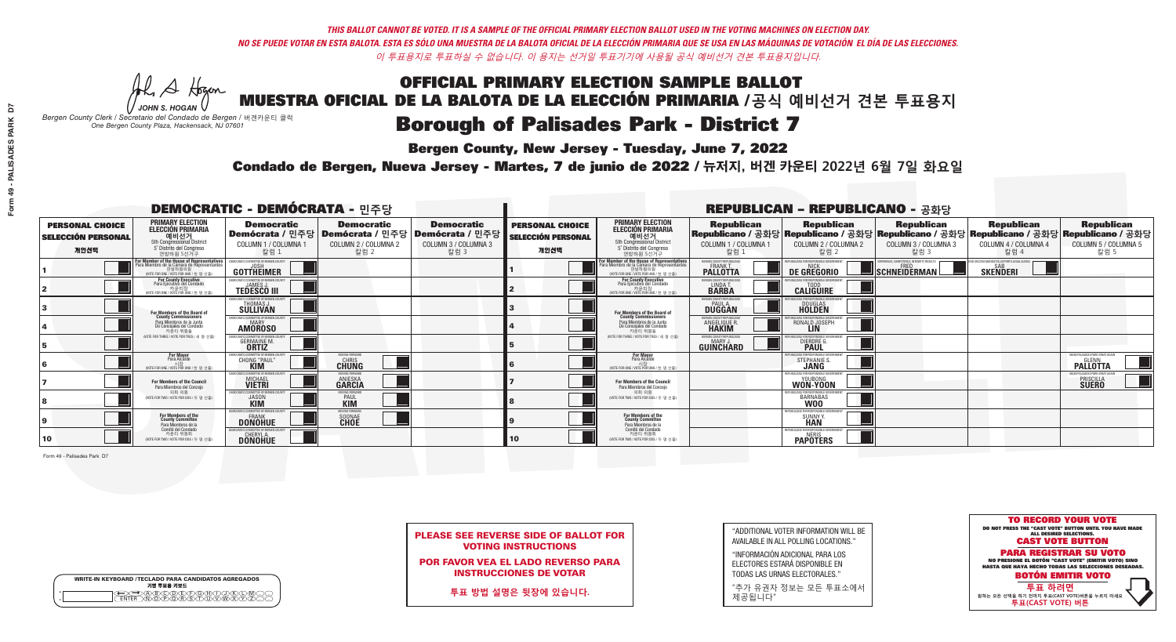**Bergen County, New Jersey - Tuesday, June 7, 2022** 

A Hogan *JOHN S. HOGAN*

| <b>WRITE-IN KEYBOARD /TECLADO PARA CANDIDATOS AGREGADOS</b><br>기명 투표용 키보드 |  |
|---------------------------------------------------------------------------|--|
|                                                                           |  |

*Bergen County Clerk / Secretario del Condado de Bergen /* 버겐카운티 클럭 *One Bergen County Plaza, Hackensack, NJ 07601*

Condado de Bergen, Nueva Jersey - Martes, 7 de junio de 2022 / 뉴저지, 버겐 카운티 2022년 6월 7일 화요일 *One Bergen County Plaza, Hackensack, NJ 07601*



PLEASE SEE REVERSE SIDE OF BALLOT FOR VOTING INSTRUCTIONS

POR FAVOR VEA EL LADO REVERSO PARA INSTRUCCIONES DE VOTAR

**투표 방법 설명은 뒷장에 있습니다.**

| "ADDITIONAL VOTER INFORMATION WILL BE |
|---------------------------------------|
| AVAILABLE IN ALL POLLING LOCATIONS."  |

"INFORMACIÓN ADICIONAL PARA LOS ELECTORES ESTARÁ DISPONIBLE EN TODAS LAS URNAS ELECTORALES."

"추가 유권자 정보는 모든 투표소에서 제공됩니다"

| <b>DEMOCRATIC - DEMÓCRATA - 민주당</b>                         |                                                                                                                                             |                                                                |                                                   |                                                                                                        |                                                             |                                                                                                                                               |                                                   | <b>REPUBLICAN - REPUBLICANO - 공화당</b>                                                                                                            |                                                   |                                                   |                                                              |
|-------------------------------------------------------------|---------------------------------------------------------------------------------------------------------------------------------------------|----------------------------------------------------------------|---------------------------------------------------|--------------------------------------------------------------------------------------------------------|-------------------------------------------------------------|-----------------------------------------------------------------------------------------------------------------------------------------------|---------------------------------------------------|--------------------------------------------------------------------------------------------------------------------------------------------------|---------------------------------------------------|---------------------------------------------------|--------------------------------------------------------------|
| <b>PERSONAL CHOICE</b><br><b>SELECCIÓN PERSONAL</b><br>개인선택 | <b>PRIMARY ELECTION</b><br><b>ELECCIÓN PRIMARIA</b><br>5th Congressional District<br>5 <sup>o</sup> Distrito del Congreso<br>연방하원 5선거구      | <b>Democratic</b><br>COLUMN 1 / COLUMNA 1<br>칼럼 1              | <b>Democratic</b><br>COLUMN 2 / COLUMNA 2<br>칼럼 2 | <b>Democratic</b><br>│Demócrata / 민주당│Demócrata / 민주당│Demócrata / 민주당┃<br>COLUMN 3 / COLUMNA 3<br>칼럼 3 | <b>PERSONAL CHOICE</b><br><b>SELECCIÓN PERSONAL</b><br>개인선택 | <b>PRIMARY ELECTION</b><br>ELECCIÓN PRIMARIA<br>예비선거<br><sub>5th Congressional District</sub><br>5° Distrito del Congreso<br>연방하원 5선거구        | <b>Republican</b><br>COLUMN 1 / COLUMNA 1<br>칼럼 : | <b>Republican</b><br>│Republicano / 공화당│Republicano / 공화당│Republicano / 공화당│Republicano / 공화당│Republicano / 공화당│<br>COLUMN 2 / COLUMNA 2<br>칼럼 2 | <b>Republican</b><br>COLUMN 3 / COLUMNA 3<br>칼럼 3 | <b>Republican</b><br>COLUMN 4 / COLUMNA 4<br>칼럼 4 | <b>Republican</b><br>COLUMN 5 / COLUMNA 5<br>칼럼 5            |
|                                                             | For Member of the House of Representative<br>Para Miembro de la Cámara de Representante<br>연방하원의원<br>(VOTE FOR ONE / VOTE POR UNO / 한 명 선출) | <b>GOTTHEIMER</b>                                              |                                                   |                                                                                                        |                                                             | For Member of the House of Representatives<br>Para Miembro de la Cámara de Representantes<br>연방하원의원<br>(VOTE FOR ONE / VOTE POR UNO / 한 명 선출) | <b>PALLOTTA</b>                                   | DE GREGORIO                                                                                                                                      | SCHNEIDERMAN                                      | <b>SKENDERI</b>                                   |                                                              |
|                                                             | <b>For County Executive</b><br>Para Ejecutivo del Condado<br>가운티장<br>(VOTE FOR ONE / VOTE POR UNO / 한 명 선출)                                 | DEMOCRATIC COMMITTEE OF BERGEN COUNTY<br><b>TEDESCO III</b>    |                                                   |                                                                                                        |                                                             | For County Executive<br>Para Ejecutivo del Condado<br>7) 카운티장<br>(VOTE FOR ONE / VOTE POR UNO / 한 명 선출)                                       | BERGEN COUNTY REPUBLICAN<br>LINDA T.              | <b>CALIGUIRE</b>                                                                                                                                 |                                                   |                                                   |                                                              |
|                                                             | <b>For Members of the Board of<br/>County Commissioners</b>                                                                                 | EMOCRATIC COMMITTEE OF BERGEN COUNT<br><b>SULLIVAN</b>         |                                                   |                                                                                                        |                                                             | For Members of the Board of<br>County Commissioners                                                                                           | BERGEN COUNTY REPUBLICAN:<br><b>DUGGAN</b>        | DOUGLAS<br>HOLDEN                                                                                                                                |                                                   |                                                   |                                                              |
|                                                             | Para Miembros de la Junta<br>De Concejales del Condado<br>카우티 위원들                                                                           | EMOCRATIC COMMITTEE OF BERGEN COUNTY<br>MARY<br><b>AMOROSO</b> |                                                   |                                                                                                        |                                                             | Para Miembros de la Junta<br>De Concejales del Condado<br>카우티 위워들                                                                             | ERGEN COUNTY REPUBLICAN!<br><b>ANGELIQUE R.</b>   | RONALD JOSEPH<br><b>LIN</b>                                                                                                                      |                                                   |                                                   |                                                              |
|                                                             | NOTE FOR THREE / VOTE POR TRES / 세 명 선출)                                                                                                    | TIC COMMITTEE OF BERGEN COUN<br><b>GERMAINE M.</b>             |                                                   |                                                                                                        |                                                             | NOTE FOR THREE / VOTE POR TRES / 세 명 선출                                                                                                       | ERGEN COUNTY REPUBLICAN:<br><b>GUINCHARD</b>      | <b>DIERDRE</b>                                                                                                                                   |                                                   |                                                   |                                                              |
|                                                             | <b>For Mayor</b><br>Para Alcalde<br>NOTE FOR ONE / VOTE POR UNO / 한 명 선출                                                                    | CHONG "PAUL"                                                   | MOVING FORWARD<br>CHRIS<br>CHUNG                  |                                                                                                        |                                                             | <b>For Mayor</b><br>Para Alcalde<br>시장<br>(VOTE FOR ONE / VOTE POR UNO / 한 명 선출)                                                              |                                                   | STEPHANIE S                                                                                                                                      |                                                   |                                                   | MAKE PALISADES PARK GREAT A<br><b>PALLOTTA</b>               |
|                                                             | For Members of the Council<br>Para Miembros del Conceio                                                                                     | MOCRATIC COMMITTEE OF BERGEN COUNT:<br><b>MICHAEL</b>          | <b>ANIESKA</b><br>GARCIA                          |                                                                                                        |                                                             | For Members of the Council<br>Para Miembros del Conceio                                                                                       |                                                   | EPURLICANS ENR RESPONSIBLE GOV<br>WON-YOON                                                                                                       |                                                   |                                                   | MAKE PALISADES PARK GREAT AGAIN<br>PRISCILLA<br><b>SUERO</b> |
|                                                             | 의회 의원<br>NOTE FOR TWO / VOTE POR DOS / 두 명 선출)                                                                                              | MOCRATIC COMMITTEE OF BERGEN COUNTY<br><b>JASON</b>            | <b>PAUL</b>                                       |                                                                                                        |                                                             | 의회 의원<br>NOTE FOR TWO / VOTE POR DOS / 두 명 선출)                                                                                                |                                                   | BARNABAS                                                                                                                                         |                                                   |                                                   |                                                              |
|                                                             | For Members of the<br>County Committee<br>Para Miembros de la                                                                               | <b>DONOHUE</b>                                                 | SOONAE<br>CHOE                                    |                                                                                                        |                                                             | For Members of the<br>County Committee<br>Para Miembros de la<br>Comité del Condado                                                           |                                                   | REPUBLICANS FOR RESPONSIBLE<br>SUNNY \                                                                                                           |                                                   |                                                   |                                                              |
| 10                                                          | `omité del Condado<br>카운티 위원회<br>NOTE FOR TWO / VOTE POR DOS / 두 명 선출)                                                                      | MOCRATIC COMMITTEE OF BERGEN CO<br><b>DONOHUE</b>              |                                                   |                                                                                                        | 10                                                          | 카운티 위원회<br>(VOTE FOR TWO / VOTE POR DOS / 두 명 선출)                                                                                             |                                                   | REPUBLICANS FOR RESPONSIBLE GOVERNMEN<br><b>PAPOTERS</b>                                                                                         |                                                   |                                                   |                                                              |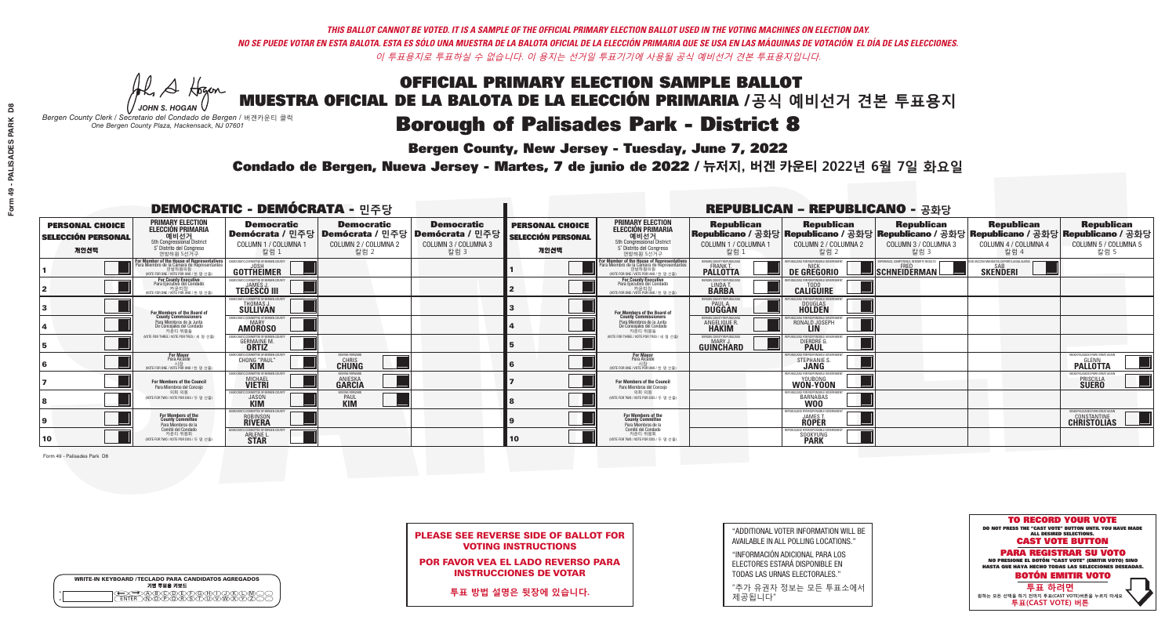**Bergen County, New Jersey - Tuesday, June 7, 2022** 

A Hogan *JOHN S. HOGAN*

| <b>WRITE-IN KEYBOARD /TECLADO PARA CANDIDATOS AGREGADOS</b><br>기명 투표용 키보드 |  |
|---------------------------------------------------------------------------|--|
| @@@@@@@@@@@@<br>\@@@@@@@@@@@@@@                                           |  |

*Bergen County Clerk / Secretario del Condado de Bergen /* 버겐카운티 클럭 *One Bergen County Plaza, Hackensack, NJ 07601*

Condado de Bergen, Nueva Jersey - Martes, 7 de junio de 2022 / 뉴저지, 버겐 카운티 2022년 6월 7일 화요일 *One Bergen County Plaza, Hackensack, NJ 07601*



PLEASE SEE REVERSE SIDE OF BALLOT FOR VOTING INSTRUCTIONS

POR FAVOR VEA EL LADO REVERSO PARA INSTRUCCIONES DE VOTAR

**투표 방법 설명은 뒷장에 있습니다.**

| "ADDITIONAL VOTER INFORMATION WILL BE |
|---------------------------------------|
| AVAILABLE IN ALL POLLING LOCATIONS."  |

"INFORMACIÓN ADICIONAL PARA LOS ELECTORES ESTARÁ DISPONIBLE EN TODAS LAS URNAS ELECTORALES."

"추가 유권자 정보는 모든 투표소에서 제공됩니다"

| <b>DEMOCRATIC - DEMÓCRATA - 민주당</b>                         |                                                                                                                                               |                                                                                 |                                                   |                                                                                                        |                                                             |                                                                                                                                               |                                                                 | <b>REPUBLICAN - REPUBLICANO - 공화당</b>                                                                                                          |                                                   |                                                   |                                                                                    |
|-------------------------------------------------------------|-----------------------------------------------------------------------------------------------------------------------------------------------|---------------------------------------------------------------------------------|---------------------------------------------------|--------------------------------------------------------------------------------------------------------|-------------------------------------------------------------|-----------------------------------------------------------------------------------------------------------------------------------------------|-----------------------------------------------------------------|------------------------------------------------------------------------------------------------------------------------------------------------|---------------------------------------------------|---------------------------------------------------|------------------------------------------------------------------------------------|
| <b>PERSONAL CHOICE</b><br><b>SELECCIÓN PERSONAL</b><br>개인선택 | <b>PRIMARY ELECTION</b><br><b>ELECCIÓN PRIMARIA</b><br>5th Congressional District<br>5 <sup>o</sup> Distrito del Congreso<br>연방하원 5선거구        | <b>Democratic</b><br>COLUMN 1 / COLUMNA 1<br>칼럼 1                               | <b>Democratic</b><br>COLUMN 2 / COLUMNA 2<br>칼럼 2 | <b>Democratic</b><br>│Demócrata / 민주당│Demócrata / 민주당│Demócrata / 민주당┃<br>COLUMN 3 / COLUMNA 3<br>칼럼 3 | <b>PERSONAL CHOICE</b><br><b>SELECCIÓN PERSONAL</b><br>개인선택 | <b>PRIMARY ELECTION</b><br>ELECCIÓN PRIMARIA<br>에비선거<br>5th Congressional District<br>5 <sup>'</sup> Distrito del Congreso<br>연방하원 5선거구       | <b>Republican</b><br>COLUMN 1 / COLUMNA 1<br>칼럼 1               | <b>Republican</b><br>Republicano / 공화당 Republicano / 공화당 Republicano / 공화당 Republicano / 공화당 Republicano / 공화당<br>COLUMN 2 / COLUMNA 2<br>칼럼 2 | <b>Republican</b><br>COLUMN 3 / COLUMNA 3<br>칼럼 3 | <b>Republican</b><br>COLUMN 4 / COLUMNA 4<br>칼럼 4 | <b>Republican</b><br>COLUMN 5 / COLUMNA 5<br>칼럼 5                                  |
|                                                             | For Member of the House of Representatives<br>Para Miembro de la Cámara de Representantes<br>연방하원의원<br>(VOTE FOR ONE / VOTE POR UNO / 한 명 선출) | <b>GOTTHEIMER</b>                                                               |                                                   |                                                                                                        |                                                             | For Member of the House of Representatives<br>Para Miembro de la Cámara de Representantes<br>연방하원의원<br>(VOTE FOR ONE / VOTE POR UNO / 한 명 선출) | FRGEN COUNTY REPUBLICAN<br><b>PALLOTTA</b>                      | DE GREGORIO                                                                                                                                    | SCHNEIDERMAN                                      | <b>SKENDERI</b>                                   |                                                                                    |
|                                                             | <b>For County Executive</b><br>Para Ejecutivo del Condado<br>. 카운티장<br>(VOTE FOR ONE / VOTE POR UNO / 한 명 선출)                                 | EMOCRATIC COMMITTEE OF BERGEN COUNTY<br><b>TEDESCO III</b>                      |                                                   |                                                                                                        |                                                             | <b>For County Executive</b><br>Para Ejecutivo del Condado<br>. 기운티장<br>(VOTE FOR ONE / VOTE POR UNO / 한 명 선출)                                 | BERGEN COUNTY REPUBLICAN<br>LINDA T.                            | <b>CALIGUIRE</b>                                                                                                                               |                                                   |                                                   |                                                                                    |
|                                                             | <b>For Members of the Board of<br/>County Commissioners</b>                                                                                   | EMOCRATIC COMMITTEE OF BERGEN COUNT<br>THOMAS J.                                |                                                   |                                                                                                        |                                                             | For Members of the Board of<br>County Commissioners                                                                                           | ERGEN COUNTY REPUBLICAN<br><b>PAUL A</b><br><b>DUGGAN</b>       | DOUGLAS<br><b>HOLDEN</b>                                                                                                                       |                                                   |                                                   |                                                                                    |
|                                                             | Para Miembros de la Junta<br>De Concejales del Condado<br>카우티 위원들                                                                             | <b>EMOCRATIC COMMITTEE OF BERGEN COUNT</b><br><b>AMOROSO</b>                    |                                                   |                                                                                                        |                                                             | Para Miembros de la Junta<br>De Concejales del Condado<br>카운티 위원들                                                                             | BERGEN COUNTY REPUBLICAN!<br><b>ANGELIQUE R</b><br><b>HAKIM</b> | II IC∆NS FNR RESPNNSIRI E GNV<br>RONALD JOSEPH<br><b>LIN</b>                                                                                   |                                                   |                                                   |                                                                                    |
|                                                             | (VOTE FOR THREE / VOTE POR TRES / 세 명 선출)                                                                                                     | CRATIC COMMITTEE OF BEBGEN COUNT<br><b>GERMAINE M.</b>                          |                                                   |                                                                                                        |                                                             | (VOTE FOR THREE / VOTE POR TRES / 세 명 선출)                                                                                                     | ERGEN COUNTY REPUBLICAN:<br><b>GUINCHARD</b>                    | DIERDRE G                                                                                                                                      |                                                   |                                                   |                                                                                    |
|                                                             | <b>For Mayor</b><br>Para Alcalde<br>NOTE FOR ONE / VOTE POR UNO / 한 명 선행                                                                      | <b>CHONG "PAUL"</b>                                                             | <b>CHUNG</b>                                      |                                                                                                        |                                                             | <b>For Mayor</b><br>Para Alcalde<br>NOTE FOR ONE / VOTE POR UNO / 한 명 선출                                                                      |                                                                 | <b>STEPHANIE S</b>                                                                                                                             |                                                   |                                                   | MAKE PALISADES PARK GREAT /<br><b>PALLOTTA</b>                                     |
|                                                             | <b>For Members of the Council</b><br>Para Miembros del Conceio                                                                                | <b><i>AOCRATIC COMMITTEE OF BERGEN C</i></b><br><b>MICHAEL</b><br><b>VIETRI</b> | <b>MOVING FORWAR</b><br><b>ANIESKA</b><br>GARCIA  |                                                                                                        |                                                             | For Members of the Council<br>Para Miembros del Conceio                                                                                       |                                                                 | REPUBLICANS FOR RESPONSIBLE GO<br>WON-YOON                                                                                                     |                                                   |                                                   | <b>MAKE PALISADES PARK GREAT AGAIN</b><br><b>PRISCILLA</b><br><b>SUERO</b>         |
|                                                             | 의회 의원<br>(VOTE FOR TWO / VOTE POR DOS / 두 명 선출)                                                                                               | EMOCRATIC COMMITTEE OF BERGEN COUNTY<br><b>JASON</b>                            | <b>PAUL</b>                                       |                                                                                                        |                                                             | 의회 의원<br>VOTE FOR TWO / VOTE POR DOS / 두 명 선출)                                                                                                |                                                                 | IRLICANS FOR RESPONSIBLE GOVERNME<br>BARNABAS                                                                                                  |                                                   |                                                   |                                                                                    |
|                                                             | For Members of the<br>County Committee<br>Para Miembros de la<br>Comité del Condado                                                           | OCRATIC COMMITTEE OF BERGEN C<br><b>ROBINSON</b>                                |                                                   |                                                                                                        |                                                             | For Members of the<br>County Committee<br>Para Miembros de la<br>Comité del Condado                                                           |                                                                 | REPUBLICANS FOR RESPONSIBLE G<br><b>JAMES T.<br/>ROPER</b>                                                                                     |                                                   |                                                   | <b>MAKE PALISADES PARK GREAT AGAIN</b><br><b>CONSTANTINE</b><br><b>CHRISTOLIAS</b> |
| 10                                                          | 카운티 위원회<br>(VOTE FOR TWO / VOTE POR DOS / 두 명 선출)                                                                                             | ICRATIC COMMITTEE OF BERGEN COUNT<br><b>ARLENE L<br/>STAR</b>                   |                                                   |                                                                                                        | 10                                                          | 카운티 위원회<br>(VOTE FOR TWO / VOTE POR DOS / 두 명 선출)                                                                                             |                                                                 | PLIRI ICANS FOR RESPONSIRI E GOV<br>SOOKYUNG<br><b>PARK</b>                                                                                    |                                                   |                                                   |                                                                                    |